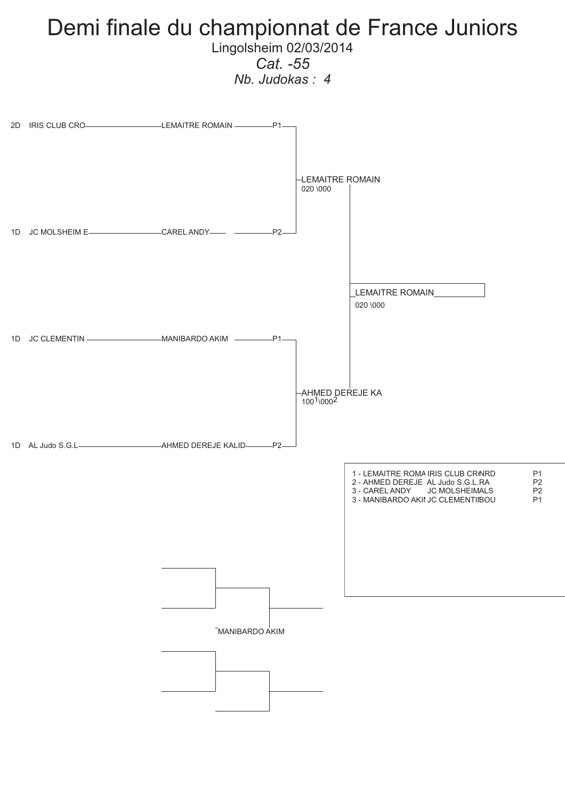### Demi finale du championnat de France Juniors Lingolsheim 02/03/2014

*Cat. -55*

*Nb. Judokas : 4*

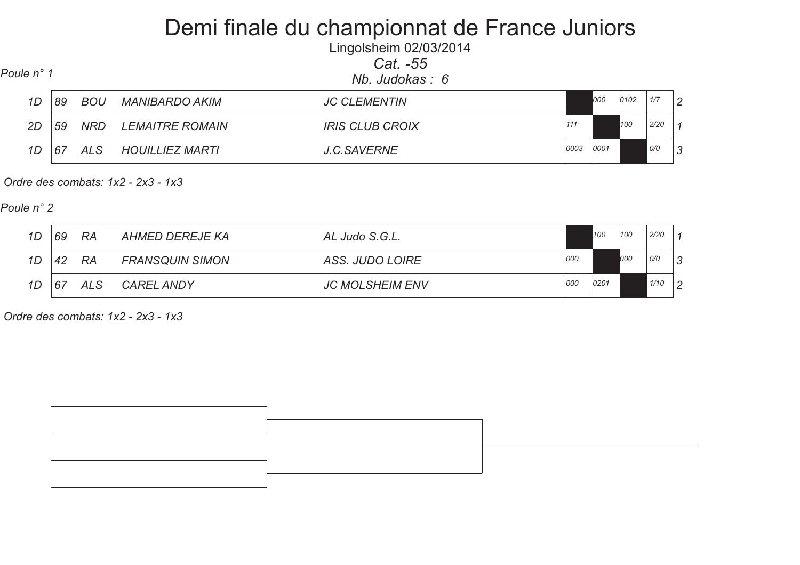# Demi finale du championnat de France Juniors

| Lingolsheim 02/03/2014 |  |          |  |
|------------------------|--|----------|--|
|                        |  | Cat. -55 |  |
|                        |  |          |  |

| Poule n° 1 |  |
|------------|--|
|------------|--|

*1D*

*2D*

*1D*

 *Nb. Judokas : 6 Poule n° 1 89 BOU MANIBARDO AKIM JC CLEMENTIN 1/7 2 <sup>000</sup> <sup>0102</sup> 59 NRD LEMAITRE ROMAIN IRIS CLUB CROIX 2/20 <sup>1</sup> <sup>111</sup> <sup>100</sup> 67 ALS HOUILLIEZ MARTI J.C.SAVERNE 0/0 3<sup>0003</sup> <sup>0001</sup>*

 *Ordre des combats: 1x2 - 2x3 - 1x3* 

*Poule n° 2*

| 1D | 69 | <b>RA</b> | AHMED DEREJE KA        | AL Judo S.G.L.         |     | 100  | 100 | 2/20 |               |
|----|----|-----------|------------------------|------------------------|-----|------|-----|------|---------------|
| 1D | 42 | -RA       | <b>FRANSQUIN SIMON</b> | ASS. JUDO LOIRE        | 000 |      | 000 | 0/0  | 3             |
| 1D | 67 | ALS       | <b>CAREL ANDY</b>      | <b>JC MOLSHEIM ENV</b> | 000 | 0201 |     | 1/10 | $\mathcal{P}$ |

 *Ordre des combats: 1x2 - 2x3 - 1x3* 

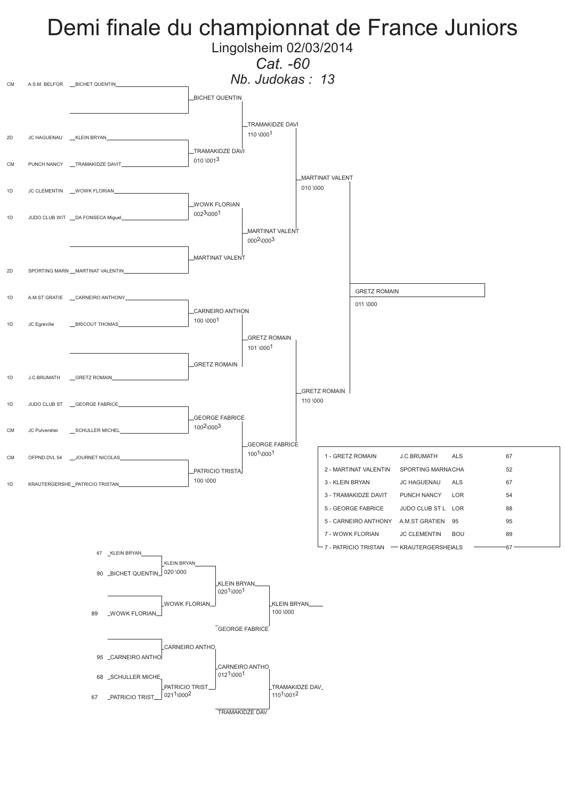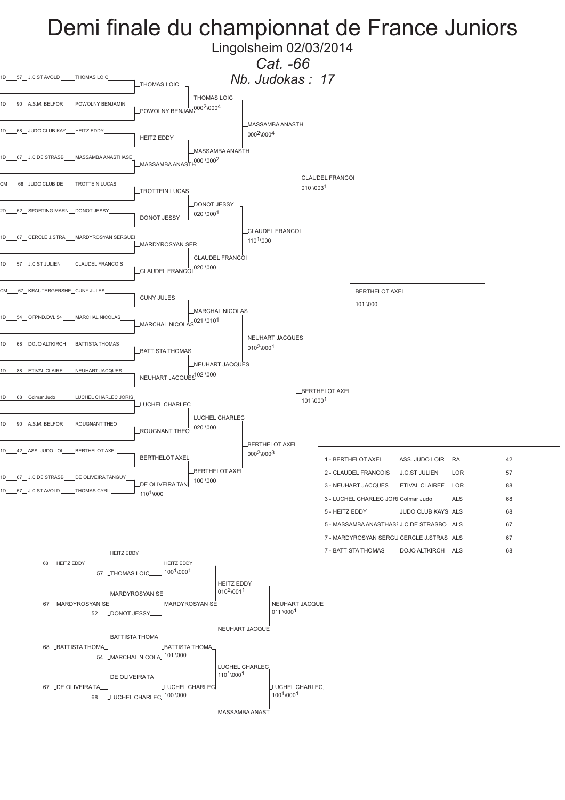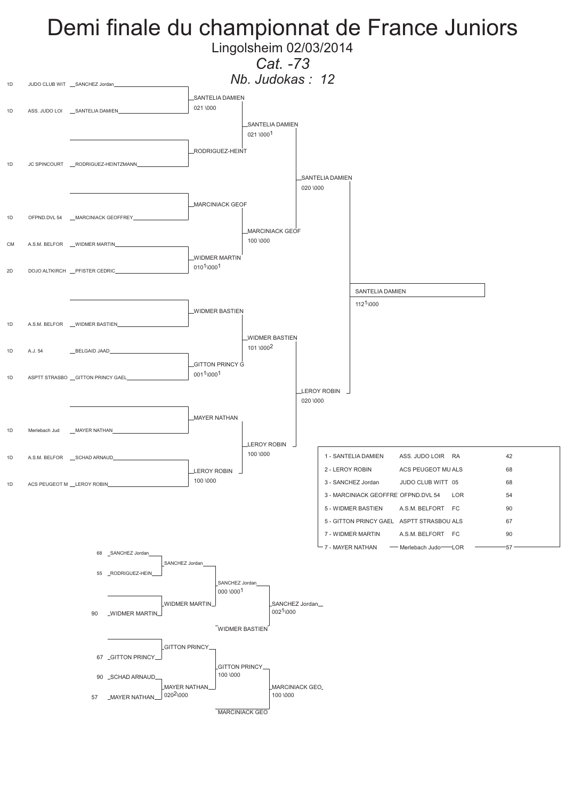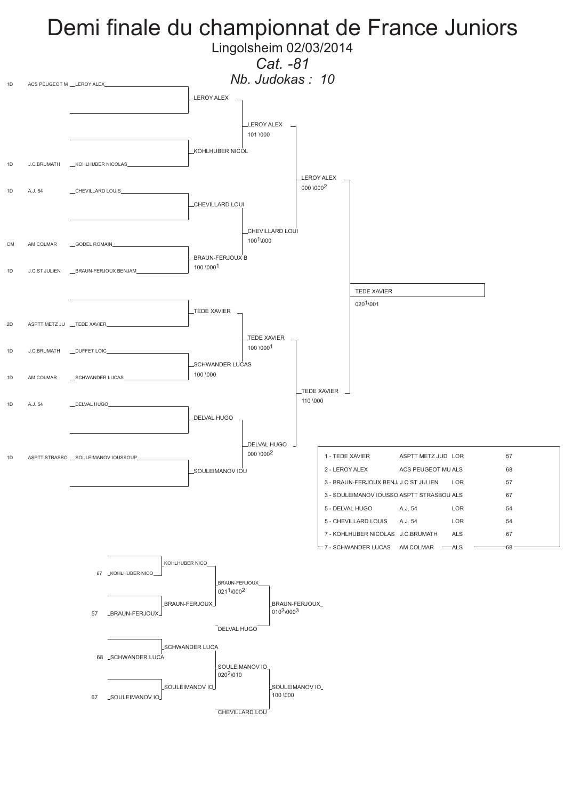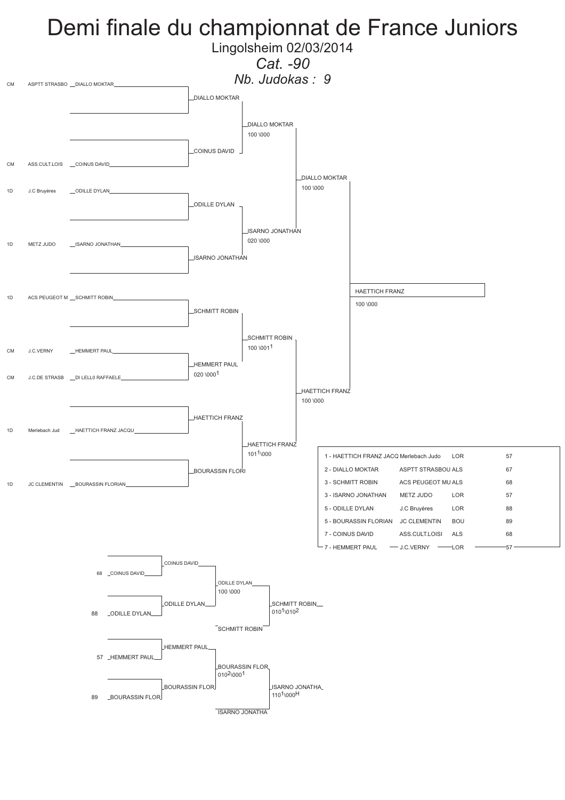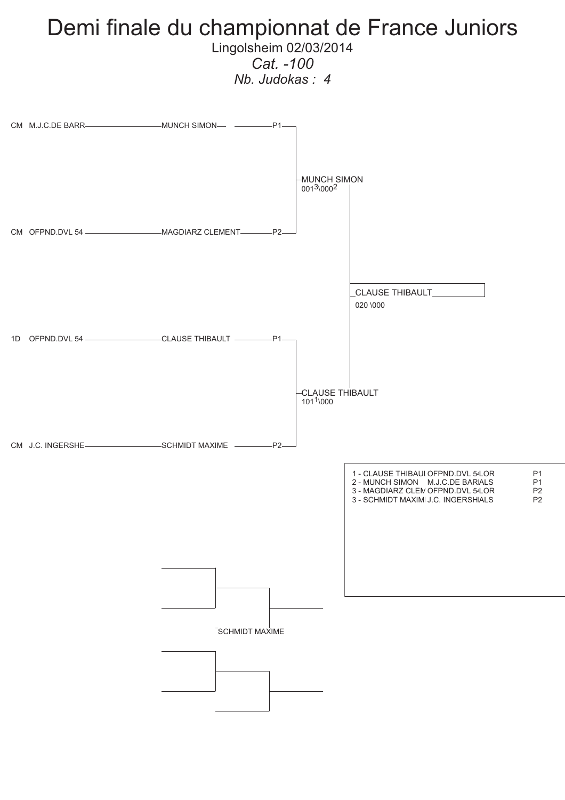

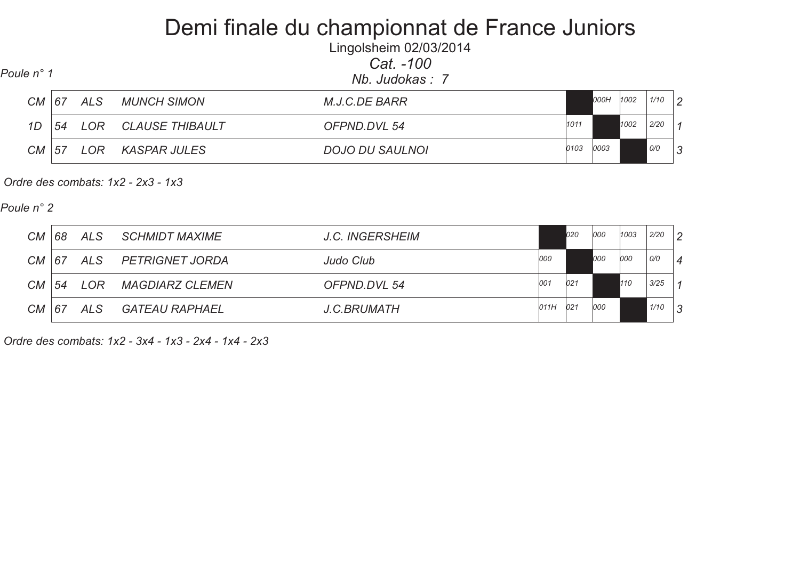## Demi finale du championnat de France Juniors

Lingolsheim 02/03/2014*Cat. -100*

 *Nb. Judokas : 7 Poule n° 1 CM 67 ALS MUNCH SIMON M.J.C.DE BARR 1/10 2 000H <sup>1002</sup> 1D 54 LOR CLAUSE THIBAULT OFPND.DVL 54 2/20 <sup>1</sup> <sup>1011</sup> <sup>1002</sup> CM 57 LOR KASPAR JULES DOJO DU SAULNOI 0/0 3<sup>0103</sup> <sup>0003</sup>*

 *Ordre des combats: 1x2 - 2x3 - 1x3* 

*Poule n° 2*

| CM        | 68 | ALS    | <i>SCHMIDT MAXIME</i>  | J.C. INGERSHEIM    |      | 020 | 000 | 1003 | 2/20 | $\mathcal{D}$  |
|-----------|----|--------|------------------------|--------------------|------|-----|-----|------|------|----------------|
| <b>CM</b> | 67 | ALS    | PETRIGNET JORDA        | Judo Club          | 000  |     | 000 | 000  | O/O  | $\overline{4}$ |
| <b>CM</b> | 54 | $1$ OR | <b>MAGDIARZ CLEMEN</b> | OFPND.DVL 54       | 001  | 021 |     | 110  | 3/25 |                |
| <b>CM</b> | 67 | ALS    | GATEAU RAPHAEL         | <b>J.C.BRUMATH</b> | 011H | 021 | 000 |      | 1/10 | 3              |

 *Ordre des combats: 1x2 - 3x4 - 1x3 - 2x4 - 1x4 - 2x3*